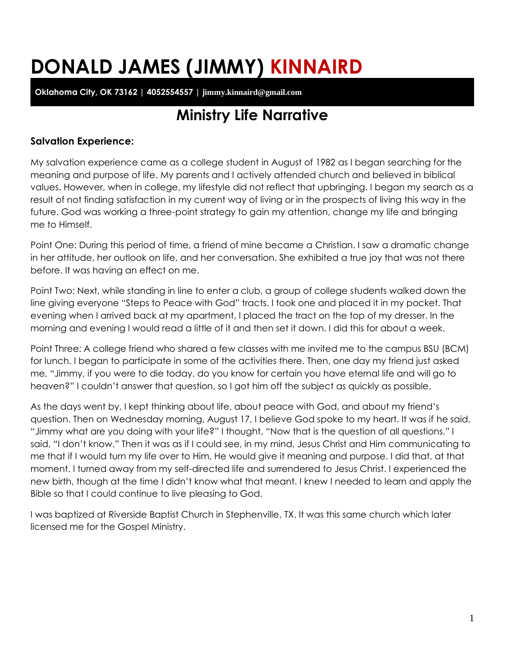# **DONALD JAMES (JIMMY) KINNAIRD**

**Oklahoma City, OK 73162 | 4052554557 | jimmy.kinnaird@gmail.com**

# **Ministry Life Narrative**

## **Salvation Experience:**

My salvation experience came as a college student in August of 1982 as I began searching for the meaning and purpose of life. My parents and I actively attended church and believed in biblical values. However, when in college, my lifestyle did not reflect that upbringing. I began my search as a result of not finding satisfaction in my current way of living or in the prospects of living this way in the future. God was working a three-point strategy to gain my attention, change my life and bringing me to Himself.

Point One: During this period of time, a friend of mine became a Christian. I saw a dramatic change in her attitude, her outlook on life, and her conversation. She exhibited a true joy that was not there before. It was having an effect on me.

Point Two: Next, while standing in line to enter a club, a group of college students walked down the line giving everyone "Steps to Peace with God" tracts. I took one and placed it in my pocket. That evening when I arrived back at my apartment, I placed the tract on the top of my dresser. In the morning and evening I would read a little of it and then set it down. I did this for about a week.

Point Three: A college friend who shared a few classes with me invited me to the campus BSU (BCM) for lunch. I began to participate in some of the activities there. Then, one day my friend just asked me, "Jimmy, if you were to die today, do you know for certain you have eternal life and will go to heaven?" I couldn't answer that question, so I got him off the subject as quickly as possible.

As the days went by, I kept thinking about life, about peace with God, and about my friend's question. Then on Wednesday morning, August 17, I believe God spoke to my heart. It was if he said, "Jimmy what are you doing with your life?" I thought, "Now that is the question of all questions." I said, "I don't know." Then it was as if I could see, in my mind, Jesus Christ and Him communicating to me that if I would turn my life over to Him, He would give it meaning and purpose. I did that, at that moment. I turned away from my self-directed life and surrendered to Jesus Christ. I experienced the new birth, though at the time I didn't know what that meant. I knew I needed to learn and apply the Bible so that I could continue to live pleasing to God.

I was baptized at Riverside Baptist Church in Stephenville, TX. It was this same church which later licensed me for the Gospel Ministry.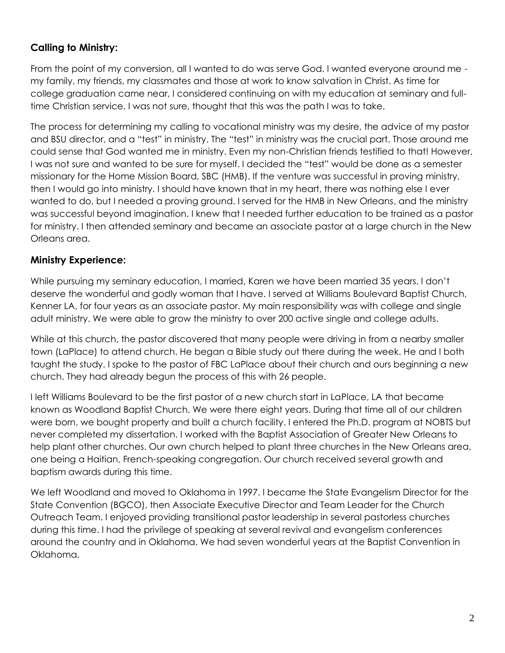# **Calling to Ministry:**

From the point of my conversion, all I wanted to do was serve God. I wanted everyone around me my family, my friends, my classmates and those at work to know salvation in Christ. As time for college graduation came near, I considered continuing on with my education at seminary and fulltime Christian service. I was not sure, thought that this was the path I was to take.

The process for determining my calling to vocational ministry was my desire, the advice of my pastor and BSU director, and a "test" in ministry. The "test" in ministry was the crucial part. Those around me could sense that God wanted me in ministry. Even my non-Christian friends testified to that! However, I was not sure and wanted to be sure for myself. I decided the "test" would be done as a semester missionary for the Home Mission Board, SBC (HMB). If the venture was successful in proving ministry, then I would go into ministry. I should have known that in my heart, there was nothing else I ever wanted to do, but I needed a proving ground. I served for the HMB in New Orleans, and the ministry was successful beyond imagination. I knew that I needed further education to be trained as a pastor for ministry. I then attended seminary and became an associate pastor at a large church in the New Orleans area.

#### **Ministry Experience:**

While pursuing my seminary education, I married, Karen we have been married 35 years. I don't deserve the wonderful and godly woman that I have. I served at Williams Boulevard Baptist Church, Kenner LA, for four years as an associate pastor. My main responsibility was with college and single adult ministry. We were able to grow the ministry to over 200 active single and college adults.

While at this church, the pastor discovered that many people were driving in from a nearby smaller town (LaPlace) to attend church. He began a Bible study out there during the week. He and I both taught the study. I spoke to the pastor of FBC LaPlace about their church and ours beginning a new church. They had already begun the process of this with 26 people.

I left Williams Boulevard to be the first pastor of a new church start in LaPlace, LA that became known as Woodland Baptist Church. We were there eight years. During that time all of our children were born, we bought property and built a church facility. I entered the Ph.D. program at NOBTS but never completed my dissertation. I worked with the Baptist Association of Greater New Orleans to help plant other churches. Our own church helped to plant three churches in the New Orleans area, one being a Haitian, French-speaking congregation. Our church received several growth and baptism awards during this time.

We left Woodland and moved to Oklahoma in 1997. I became the State Evangelism Director for the State Convention (BGCO), then Associate Executive Director and Team Leader for the Church Outreach Team. I enjoyed providing transitional pastor leadership in several pastorless churches during this time. I had the privilege of speaking at several revival and evangelism conferences around the country and in Oklahoma. We had seven wonderful years at the Baptist Convention in Oklahoma.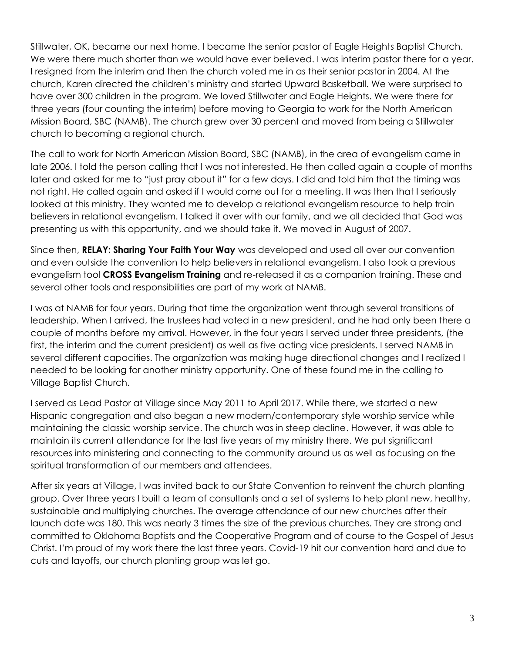Stillwater, OK, became our next home. I became the senior pastor of Eagle Heights Baptist Church. We were there much shorter than we would have ever believed. I was interim pastor there for a year. I resigned from the interim and then the church voted me in as their senior pastor in 2004. At the church, Karen directed the children's ministry and started Upward Basketball. We were surprised to have over 300 children in the program. We loved Stillwater and Eagle Heights. We were there for three years (four counting the interim) before moving to Georgia to work for the North American Mission Board, SBC (NAMB). The church grew over 30 percent and moved from being a Stillwater church to becoming a regional church.

The call to work for North American Mission Board, SBC (NAMB), in the area of evangelism came in late 2006. I told the person calling that I was not interested. He then called again a couple of months later and asked for me to "just pray about it" for a few days. I did and told him that the timing was not right. He called again and asked if I would come out for a meeting. It was then that I seriously looked at this ministry. They wanted me to develop a relational evangelism resource to help train believers in relational evangelism. I talked it over with our family, and we all decided that God was presenting us with this opportunity, and we should take it. We moved in August of 2007.

Since then, **RELAY: Sharing Your Faith Your Way** was developed and used all over our convention and even outside the convention to help believers in relational evangelism. I also took a previous evangelism tool **CROSS Evangelism Training** and re-released it as a companion training. These and several other tools and responsibilities are part of my work at NAMB.

I was at NAMB for four years. During that time the organization went through several transitions of leadership. When I arrived, the trustees had voted in a new president, and he had only been there a couple of months before my arrival. However, in the four years I served under three presidents, (the first, the interim and the current president) as well as five acting vice presidents. I served NAMB in several different capacities. The organization was making huge directional changes and I realized I needed to be looking for another ministry opportunity. One of these found me in the calling to Village Baptist Church.

I served as Lead Pastor at Village since May 2011 to April 2017. While there, we started a new Hispanic congregation and also began a new modern/contemporary style worship service while maintaining the classic worship service. The church was in steep decline. However, it was able to maintain its current attendance for the last five years of my ministry there. We put significant resources into ministering and connecting to the community around us as well as focusing on the spiritual transformation of our members and attendees.

After six years at Village, I was invited back to our State Convention to reinvent the church planting group. Over three years I built a team of consultants and a set of systems to help plant new, healthy, sustainable and multiplying churches. The average attendance of our new churches after their launch date was 180. This was nearly 3 times the size of the previous churches. They are strong and committed to Oklahoma Baptists and the Cooperative Program and of course to the Gospel of Jesus Christ. I'm proud of my work there the last three years. Covid-19 hit our convention hard and due to cuts and layoffs, our church planting group was let go.